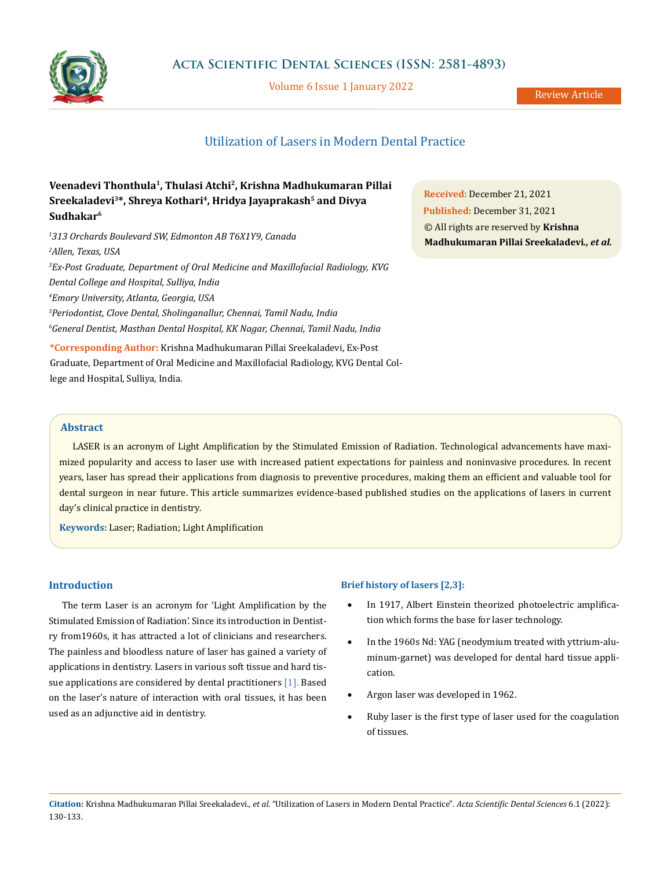

Volume 6 Issue 1 January 2022

# Utilization of Lasers in Modern Dental Practice

## **Veenadevi Thonthula1, Thulasi Atchi2, Krishna Madhukumaran Pillai**  Sreekaladevi<sup>3\*</sup>, Shreya Kothari<sup>4</sup>, Hridya Jayaprakash<sup>5</sup> and Divya **Sudhakar6**

 *313 Orchards Boulevard SW, Edmonton AB T6X1Y9, Canada Allen, Texas, USA Ex-Post Graduate, Department of Oral Medicine and Maxillofacial Radiology, KVG Dental College and Hospital, Sulliya, India Emory University, Atlanta, Georgia, USA Periodontist, Clove Dental, Sholinganallur, Chennai, Tamil Nadu, India General Dentist, Masthan Dental Hospital, KK Nagar, Chennai, Tamil Nadu, India* **\*Corresponding Author:** Krishna Madhukumaran Pillai Sreekaladevi, Ex-Post

Graduate, Department of Oral Medicine and Maxillofacial Radiology, KVG Dental College and Hospital, Sulliya, India.

**Received:** December 21, 2021 **Published:** December 31, 2021 © All rights are reserved by **Krishna Madhukumaran Pillai Sreekaladevi***., et al.*

### **Abstract**

LASER is an acronym of Light Amplification by the Stimulated Emission of Radiation. Technological advancements have maximized popularity and access to laser use with increased patient expectations for painless and noninvasive procedures. In recent years, laser has spread their applications from diagnosis to preventive procedures, making them an efficient and valuable tool for dental surgeon in near future. This article summarizes evidence-based published studies on the applications of lasers in current day's clinical practice in dentistry.

**Keywords:** Laser; Radiation; Light Amplification

### **Introduction**

The term Laser is an acronym for 'Light Amplification by the Stimulated Emission of Radiation'. Since its introduction in Dentistry from1960s, it has attracted a lot of clinicians and researchers. The painless and bloodless nature of laser has gained a variety of applications in dentistry. Lasers in various soft tissue and hard tissue applications are considered by dental practitioners [1]. Based on the laser's nature of interaction with oral tissues, it has been used as an adjunctive aid in dentistry.

### **Brief history of lasers [2,3]:**

- In 1917, Albert Einstein theorized photoelectric amplification which forms the base for laser technology.
- In the 1960s Nd: YAG (neodymium treated with yttrium-aluminum-garnet) was developed for dental hard tissue application.
- Argon laser was developed in 1962.
- Ruby laser is the first type of laser used for the coagulation of tissues.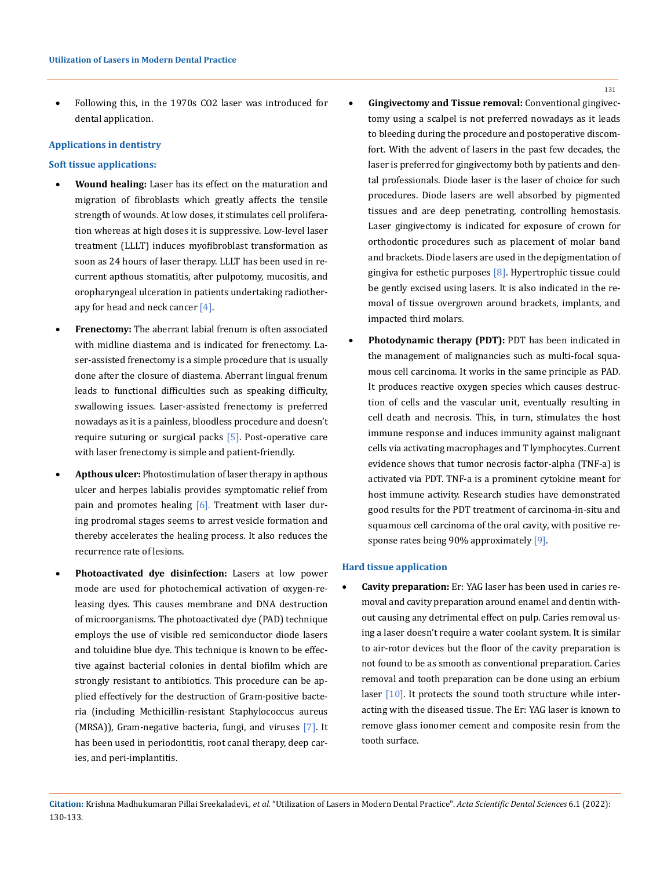Following this, in the 1970s CO2 laser was introduced for dental application.

### **Applications in dentistry**

#### **Soft tissue applications:**

- **Wound healing:** Laser has its effect on the maturation and migration of fibroblasts which greatly affects the tensile strength of wounds. At low doses, it stimulates cell proliferation whereas at high doses it is suppressive. Low-level laser treatment (LLLT) induces myofibroblast transformation as soon as 24 hours of laser therapy. LLLT has been used in recurrent apthous stomatitis, after pulpotomy, mucositis, and oropharyngeal ulceration in patients undertaking radiotherapy for head and neck cancer [4].
- **Frenectomy:** The aberrant labial frenum is often associated with midline diastema and is indicated for frenectomy. Laser-assisted frenectomy is a simple procedure that is usually done after the closure of diastema. Aberrant lingual frenum leads to functional difficulties such as speaking difficulty, swallowing issues. Laser-assisted frenectomy is preferred nowadays as it is a painless, bloodless procedure and doesn't require suturing or surgical packs [5]. Post-operative care with laser frenectomy is simple and patient-friendly.
- Apthous ulcer: Photostimulation of laser therapy in apthous ulcer and herpes labialis provides symptomatic relief from pain and promotes healing  $[6]$ . Treatment with laser during prodromal stages seems to arrest vesicle formation and thereby accelerates the healing process. It also reduces the recurrence rate of lesions.
- Photoactivated dye disinfection: Lasers at low power mode are used for photochemical activation of oxygen-releasing dyes. This causes membrane and DNA destruction of microorganisms. The photoactivated dye (PAD) technique employs the use of visible red semiconductor diode lasers and toluidine blue dye. This technique is known to be effective against bacterial colonies in dental biofilm which are strongly resistant to antibiotics. This procedure can be applied effectively for the destruction of Gram-positive bacteria (including Methicillin-resistant Staphylococcus aureus (MRSA)), Gram-negative bacteria, fungi, and viruses [7]. It has been used in periodontitis, root canal therapy, deep caries, and peri-implantitis.
- **Gingivectomy and Tissue removal:** Conventional gingivectomy using a scalpel is not preferred nowadays as it leads to bleeding during the procedure and postoperative discomfort. With the advent of lasers in the past few decades, the laser is preferred for gingivectomy both by patients and dental professionals. Diode laser is the laser of choice for such procedures. Diode lasers are well absorbed by pigmented tissues and are deep penetrating, controlling hemostasis. Laser gingivectomy is indicated for exposure of crown for orthodontic procedures such as placement of molar band and brackets. Diode lasers are used in the depigmentation of gingiva for esthetic purposes [8]. Hypertrophic tissue could be gently excised using lasers. It is also indicated in the removal of tissue overgrown around brackets, implants, and impacted third molars.
- **Photodynamic therapy (PDT):** PDT has been indicated in the management of malignancies such as multi-focal squamous cell carcinoma. It works in the same principle as PAD. It produces reactive oxygen species which causes destruction of cells and the vascular unit, eventually resulting in cell death and necrosis. This, in turn, stimulates the host immune response and induces immunity against malignant cells via activating macrophages and T lymphocytes. Current evidence shows that tumor necrosis factor-alpha (TNF-a) is activated via PDT. TNF-a is a prominent cytokine meant for host immune activity. Research studies have demonstrated good results for the PDT treatment of carcinoma-in-situ and squamous cell carcinoma of the oral cavity, with positive response rates being 90% approximately [9].

### **Hard tissue application**

Cavity preparation: Er: YAG laser has been used in caries removal and cavity preparation around enamel and dentin without causing any detrimental effect on pulp. Caries removal using a laser doesn't require a water coolant system. It is similar to air‑rotor devices but the floor of the cavity preparation is not found to be as smooth as conventional preparation. Caries removal and tooth preparation can be done using an erbium laser [10]. It protects the sound tooth structure while interacting with the diseased tissue. The Er: YAG laser is known to remove glass ionomer cement and composite resin from the tooth surface.

**Citation:** Krishna Madhukumaran Pillai Sreekaladevi*., et al.* "Utilization of Lasers in Modern Dental Practice". *Acta Scientific Dental Sciences* 6.1 (2022): 130-133.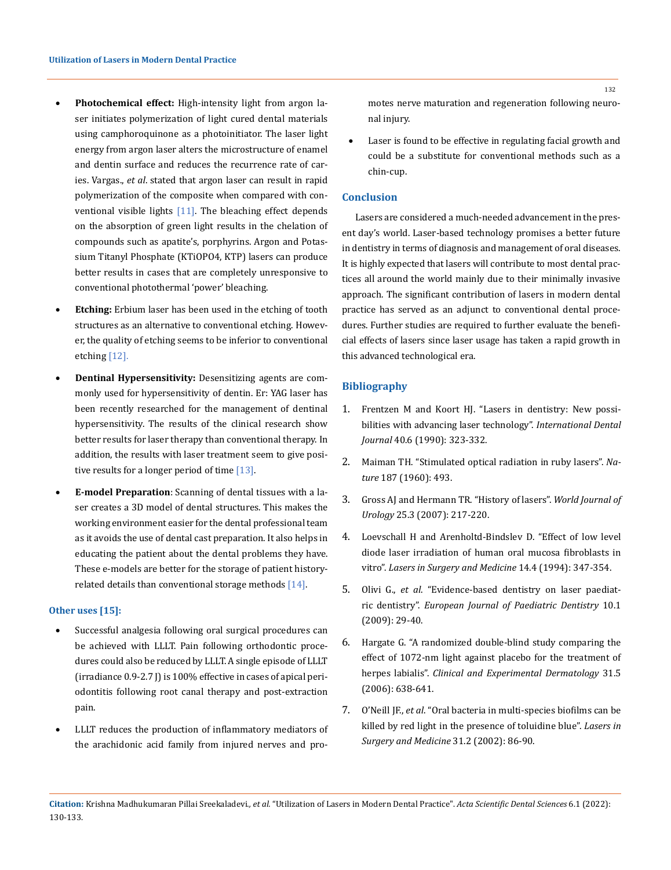- Photochemical effect: High-intensity light from argon laser initiates polymerization of light cured dental materials using camphoroquinone as a photoinitiator. The laser light energy from argon laser alters the microstructure of enamel and dentin surface and reduces the recurrence rate of caries. Vargas., *et al*. stated that argon laser can result in rapid polymerization of the composite when compared with conventional visible lights [11]. The bleaching effect depends on the absorption of green light results in the chelation of compounds such as apatite's, porphyrins. Argon and Potassium Titanyl Phosphate (KTiOPO4, KTP) lasers can produce better results in cases that are completely unresponsive to conventional photothermal 'power' bleaching.
- **Etching:** Erbium laser has been used in the etching of tooth structures as an alternative to conventional etching. However, the quality of etching seems to be inferior to conventional etching [12].
- **Dentinal Hypersensitivity:** Desensitizing agents are commonly used for hypersensitivity of dentin. Er: YAG laser has been recently researched for the management of dentinal hypersensitivity. The results of the clinical research show better results for laser therapy than conventional therapy. In addition, the results with laser treatment seem to give positive results for a longer period of time [13].
- **E-model Preparation**: Scanning of dental tissues with a laser creates a 3D model of dental structures. This makes the working environment easier for the dental professional team as it avoids the use of dental cast preparation. It also helps in educating the patient about the dental problems they have. These e-models are better for the storage of patient historyrelated details than conventional storage methods [14].

#### **Other uses [15]:**

- Successful analgesia following oral surgical procedures can be achieved with LLLT. Pain following orthodontic procedures could also be reduced by LLLT. A single episode of LLLT (irradiance 0.9-2.7 J) is 100% effective in cases of apical periodontitis following root canal therapy and post-extraction pain.
- LLLT reduces the production of inflammatory mediators of the arachidonic acid family from injured nerves and pro-

motes nerve maturation and regeneration following neuronal injury.

Laser is found to be effective in regulating facial growth and could be a substitute for conventional methods such as a chin-cup.

### **Conclusion**

Lasers are considered a much-needed advancement in the present day's world. Laser-based technology promises a better future in dentistry in terms of diagnosis and management of oral diseases. It is highly expected that lasers will contribute to most dental practices all around the world mainly due to their minimally invasive approach. The significant contribution of lasers in modern dental practice has served as an adjunct to conventional dental procedures. Further studies are required to further evaluate the beneficial effects of lasers since laser usage has taken a rapid growth in this advanced technological era.

### **Bibliography**

- 1. [Frentzen M and Koort HJ. "Lasers in dentistry: New possi](https://pubmed.ncbi.nlm.nih.gov/2276829/)[bilities with advancing laser technology".](https://pubmed.ncbi.nlm.nih.gov/2276829/) *International Dental Journal* [40.6 \(1990\): 323-332.](https://pubmed.ncbi.nlm.nih.gov/2276829/)
- 2. [Maiman TH. "Stimulated optical radiation in ruby lasers".](https://www.nature.com/articles/187493a0) *Nature* [187 \(1960\): 493.](https://www.nature.com/articles/187493a0)
- 3. [Gross AJ and Hermann TR. "History of lasers".](https://pubmed.ncbi.nlm.nih.gov/17564717/) *World Journal of Urology* [25.3 \(2007\): 217-220.](https://pubmed.ncbi.nlm.nih.gov/17564717/)
- 4. [Loevschall H and Arenholtd-Bindslev D. "Effect of low level](https://pubmed.ncbi.nlm.nih.gov/8078384/)  [diode laser irradiation of human oral mucosa fibroblasts in](https://pubmed.ncbi.nlm.nih.gov/8078384/)  vitro". *[Lasers in Surgery and Medicine](https://pubmed.ncbi.nlm.nih.gov/8078384/)* 14.4 (1994): 347-354.
- 5. Olivi G., *et al*[. "Evidence-based dentistry on laser paediat](https://pubmed.ncbi.nlm.nih.gov/19364243/)ric dentistry". *[European Journal of Paediatric Dentistry](https://pubmed.ncbi.nlm.nih.gov/19364243/)* 10.1 [\(2009\): 29-40.](https://pubmed.ncbi.nlm.nih.gov/19364243/)
- 6. [Hargate G. "A randomized double-blind study comparing the](https://pubmed.ncbi.nlm.nih.gov/16780494/) [effect of 1072-nm light against placebo for the treatment of](https://pubmed.ncbi.nlm.nih.gov/16780494/)  herpes labialis". *[Clinical and Experimental Dermatology](https://pubmed.ncbi.nlm.nih.gov/16780494/)* 31.5 [\(2006\): 638-641.](https://pubmed.ncbi.nlm.nih.gov/16780494/)
- 7. O'Neill JF., *et al*[. "Oral bacteria in multi‑species biofilms can be](https://pubmed.ncbi.nlm.nih.gov/12210591/) [killed by red light in the presence of toluidine blue".](https://pubmed.ncbi.nlm.nih.gov/12210591/) *Lasers in [Surgery and Medicine](https://pubmed.ncbi.nlm.nih.gov/12210591/)* 31.2 (2002): 86-90.

132